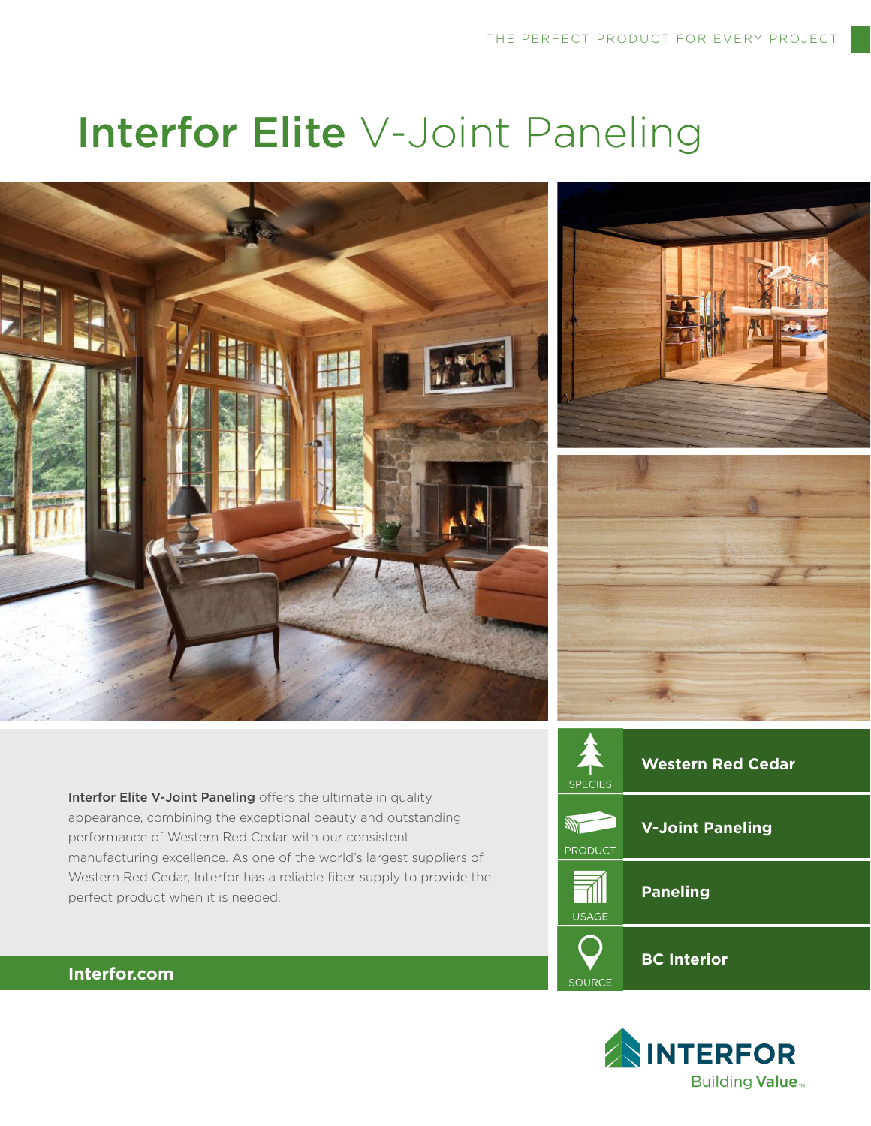# Interfor Elite V-Joint Paneling







Interfor Elite V-Joint Paneling offers the ultimate in quality appearance, combining the exceptional beauty and outstanding performance of Western Red Cedar with our consistent manufacturing excellence. As one of the world's largest suppliers of Western Red Cedar, Interfor has a reliable fiber supply to provide the perfect product when it is needed.





# **Interfor.com**